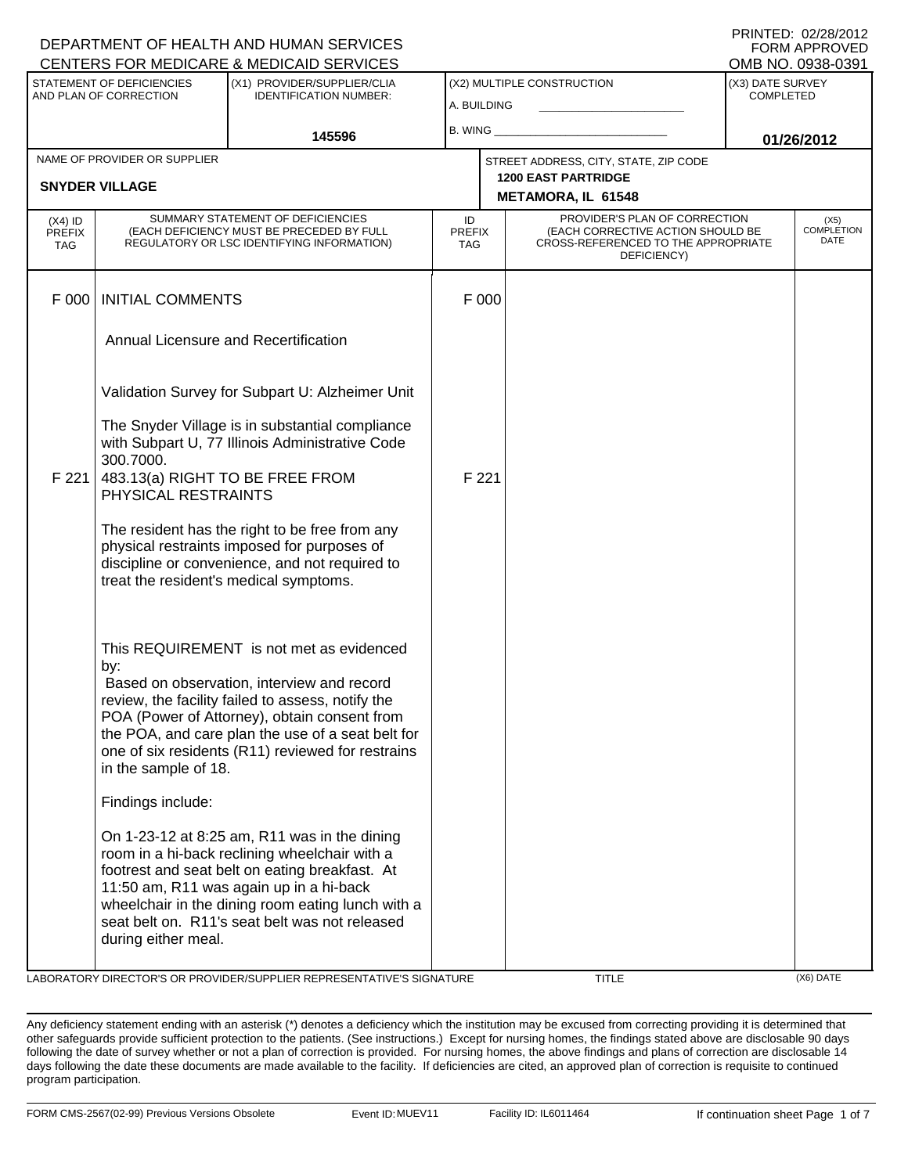|                                          |                                                                                                                              | DEPARTMENT OF HEALTH AND HUMAN SERVICES<br>CENTERS FOR MEDICARE & MEDICAID SERVICES                                                                                                                                                                                                                   |                                   |                                                                                                                          |                                                         |                                      | FORM APPROVED<br>OMB NO. 0938-0391 |
|------------------------------------------|------------------------------------------------------------------------------------------------------------------------------|-------------------------------------------------------------------------------------------------------------------------------------------------------------------------------------------------------------------------------------------------------------------------------------------------------|-----------------------------------|--------------------------------------------------------------------------------------------------------------------------|---------------------------------------------------------|--------------------------------------|------------------------------------|
|                                          | STATEMENT OF DEFICIENCIES<br>AND PLAN OF CORRECTION                                                                          | (X1) PROVIDER/SUPPLIER/CLIA<br><b>IDENTIFICATION NUMBER:</b>                                                                                                                                                                                                                                          | A. BUILDING                       |                                                                                                                          | (X2) MULTIPLE CONSTRUCTION                              | (X3) DATE SURVEY<br><b>COMPLETED</b> |                                    |
|                                          |                                                                                                                              | 145596                                                                                                                                                                                                                                                                                                | B. WING_                          |                                                                                                                          |                                                         |                                      | 01/26/2012                         |
|                                          | NAME OF PROVIDER OR SUPPLIER                                                                                                 |                                                                                                                                                                                                                                                                                                       |                                   |                                                                                                                          | STREET ADDRESS, CITY, STATE, ZIP CODE                   |                                      |                                    |
|                                          | <b>SNYDER VILLAGE</b>                                                                                                        |                                                                                                                                                                                                                                                                                                       |                                   |                                                                                                                          | <b>1200 EAST PARTRIDGE</b><br><b>METAMORA, IL 61548</b> |                                      |                                    |
| $(X4)$ ID<br><b>PREFIX</b><br><b>TAG</b> | SUMMARY STATEMENT OF DEFICIENCIES<br>(EACH DEFICIENCY MUST BE PRECEDED BY FULL<br>REGULATORY OR LSC IDENTIFYING INFORMATION) |                                                                                                                                                                                                                                                                                                       | ID<br><b>PREFIX</b><br><b>TAG</b> | PROVIDER'S PLAN OF CORRECTION<br>(EACH CORRECTIVE ACTION SHOULD BE<br>CROSS-REFERENCED TO THE APPROPRIATE<br>DEFICIENCY) |                                                         |                                      | (X5)<br><b>COMPLETION</b><br>DATE  |
| F 000                                    | <b>INITIAL COMMENTS</b>                                                                                                      |                                                                                                                                                                                                                                                                                                       |                                   | F 000                                                                                                                    |                                                         |                                      |                                    |
|                                          | Annual Licensure and Recertification                                                                                         |                                                                                                                                                                                                                                                                                                       |                                   |                                                                                                                          |                                                         |                                      |                                    |
|                                          |                                                                                                                              | Validation Survey for Subpart U: Alzheimer Unit                                                                                                                                                                                                                                                       |                                   |                                                                                                                          |                                                         |                                      |                                    |
|                                          | 300.7000.                                                                                                                    | The Snyder Village is in substantial compliance<br>with Subpart U, 77 Illinois Administrative Code                                                                                                                                                                                                    |                                   |                                                                                                                          |                                                         |                                      |                                    |
| F 221                                    | PHYSICAL RESTRAINTS                                                                                                          | 483.13(a) RIGHT TO BE FREE FROM                                                                                                                                                                                                                                                                       |                                   | F 221                                                                                                                    |                                                         |                                      |                                    |
|                                          |                                                                                                                              | The resident has the right to be free from any<br>physical restraints imposed for purposes of<br>discipline or convenience, and not required to<br>treat the resident's medical symptoms.                                                                                                             |                                   |                                                                                                                          |                                                         |                                      |                                    |
|                                          | by:<br>in the sample of 18.                                                                                                  | This REQUIREMENT is not met as evidenced<br>Based on observation, interview and record<br>review, the facility failed to assess, notify the<br>POA (Power of Attorney), obtain consent from<br>the POA, and care plan the use of a seat belt for<br>one of six residents (R11) reviewed for restrains |                                   |                                                                                                                          |                                                         |                                      |                                    |
|                                          | Findings include:                                                                                                            |                                                                                                                                                                                                                                                                                                       |                                   |                                                                                                                          |                                                         |                                      |                                    |
|                                          | during either meal.                                                                                                          | On 1-23-12 at 8:25 am, R11 was in the dining<br>room in a hi-back reclining wheelchair with a<br>footrest and seat belt on eating breakfast. At<br>11:50 am, R11 was again up in a hi-back<br>wheelchair in the dining room eating lunch with a<br>seat belt on. R11's seat belt was not released     |                                   |                                                                                                                          |                                                         |                                      |                                    |

LABORATORY DIRECTOR'S OR PROVIDER/SUPPLIER REPRESENTATIVE'S SIGNATURE TITLE TITLE (X6) DATE

DEPARTMENT OF HEALTH AND HUMAN SERVICES

PRINTED: 02/28/2012

Any deficiency statement ending with an asterisk (\*) denotes a deficiency which the institution may be excused from correcting providing it is determined that other safeguards provide sufficient protection to the patients. (See instructions.) Except for nursing homes, the findings stated above are disclosable 90 days following the date of survey whether or not a plan of correction is provided. For nursing homes, the above findings and plans of correction are disclosable 14 days following the date these documents are made available to the facility. If deficiencies are cited, an approved plan of correction is requisite to continued program participation.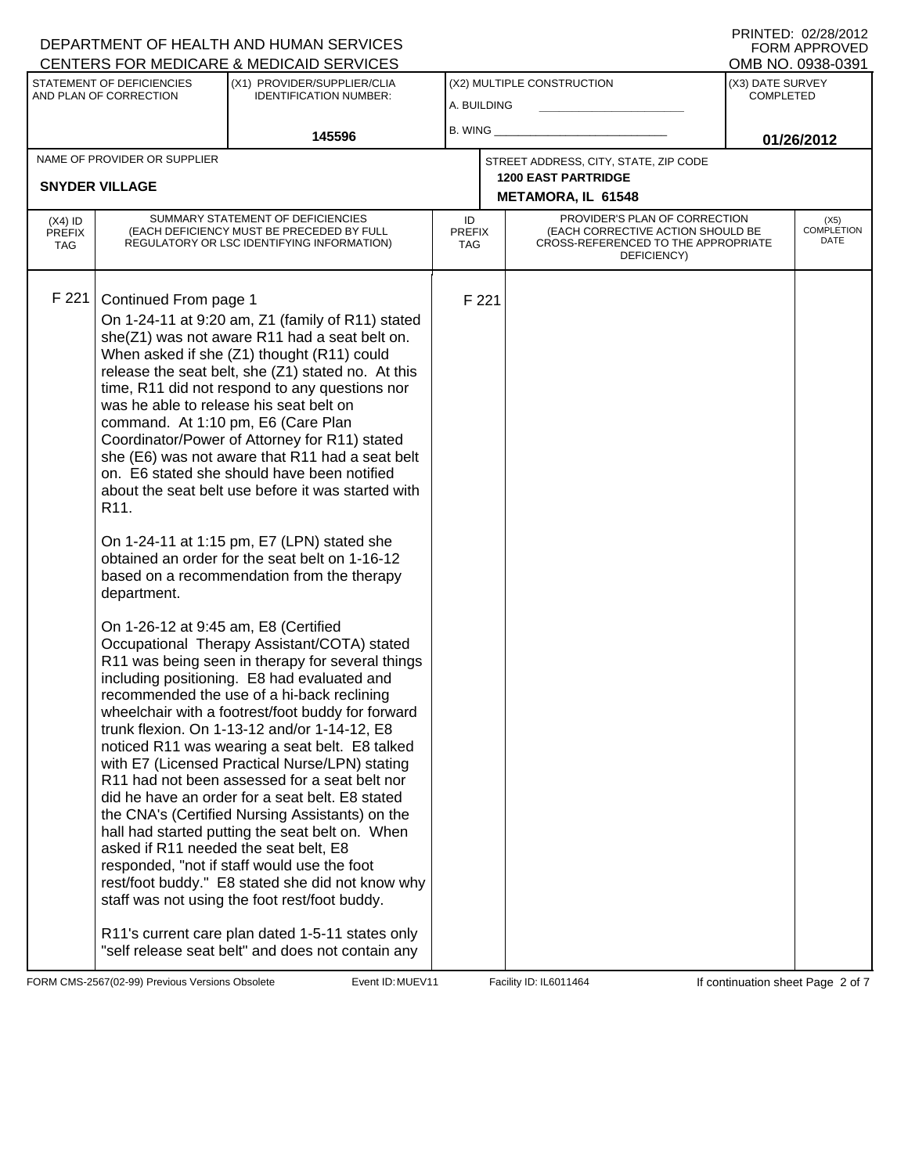## A. BUILDING (X1) PROVIDER/SUPPLIER/CLIA IDENTIFICATION NUMBER: STATEMENT OF DEFICIENCIES AND PLAN OF CORRECTION (X3) DATE SURVEY COMPLETED FORM APPROVED<br>OMB NO. 0938-0391 (X2) MULTIPLE CONSTRUCTION B. WING **\_\_\_\_\_\_\_\_\_\_\_\_\_\_\_\_\_\_\_\_\_\_** CENTERS FOR MEDICARE & MEDICAID SERVICES **145596 01/26/2012 METAMORA, IL 61548** NAME OF PROVIDER OR SUPPLIER STREET ADDRESS, CITY, STATE, ZIP CODE **SNYDER VILLAGE 1200 EAST PARTRIDGE** PROVIDER'S PLAN OF CORRECTION (EACH CORRECTIVE ACTION SHOULD BE CROSS-REFERENCED TO THE APPROPRIATE DEFICIENCY) (X5) COMPLETION DATE ID PREFIX TAG (X4) ID PREFIX TAG SUMMARY STATEMENT OF DEFICIENCIES (EACH DEFICIENCY MUST BE PRECEDED BY FULL REGULATORY OR LSC IDENTIFYING INFORMATION) F 221 Continued From page 1 F 221 On 1-24-11 at 9:20 am, Z1 (family of R11) stated she(Z1) was not aware R11 had a seat belt on. When asked if she (Z1) thought (R11) could release the seat belt, she (Z1) stated no. At this time, R11 did not respond to any questions nor was he able to release his seat belt on command. At 1:10 pm, E6 (Care Plan Coordinator/Power of Attorney for R11) stated she (E6) was not aware that R11 had a seat belt on. E6 stated she should have been notified about the seat belt use before it was started with R11. On 1-24-11 at 1:15 pm, E7 (LPN) stated she obtained an order for the seat belt on 1-16-12 based on a recommendation from the therapy department. On 1-26-12 at 9:45 am, E8 (Certified Occupational Therapy Assistant/COTA) stated R11 was being seen in therapy for several things including positioning. E8 had evaluated and recommended the use of a hi-back reclining wheelchair with a footrest/foot buddy for forward trunk flexion. On 1-13-12 and/or 1-14-12, E8 noticed R11 was wearing a seat belt. E8 talked with E7 (Licensed Practical Nurse/LPN) stating R11 had not been assessed for a seat belt nor did he have an order for a seat belt. E8 stated the CNA's (Certified Nursing Assistants) on the hall had started putting the seat belt on. When asked if R11 needed the seat belt, E8 responded, "not if staff would use the foot rest/foot buddy." E8 stated she did not know why staff was not using the foot rest/foot buddy. R11's current care plan dated 1-5-11 states only "self release seat belt" and does not contain any

FORM CMS-2567(02-99) Previous Versions Obsolete MuEV11 Event ID: MUEV11 Facility ID: IL6011464 If continuation sheet Page 2 of 7

DEPARTMENT OF HEALTH AND HUMAN SERVICES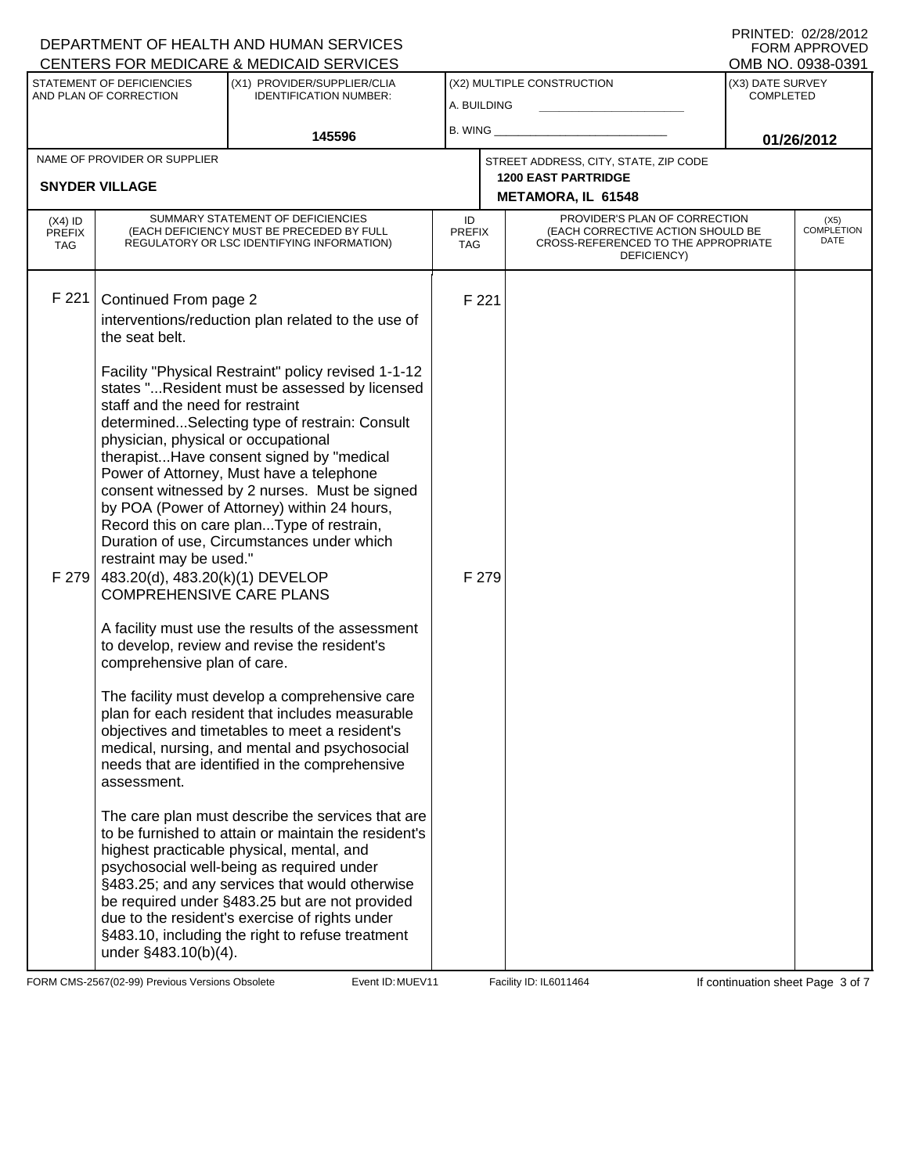|                                   |                                                                                                                                                                                                         | DEPARTMENT OF HEALTH AND HUMAN SERVICES<br>CENTERS FOR MEDICARE & MEDICAID SERVICES                                                                                                                                                                                                                                                                                                                                                                                                                                                                                                                                                                                                                  |                            |       |                                                                                                                          |                                      | FORM APPROVED<br>OMB NO. 0938-0391 |
|-----------------------------------|---------------------------------------------------------------------------------------------------------------------------------------------------------------------------------------------------------|------------------------------------------------------------------------------------------------------------------------------------------------------------------------------------------------------------------------------------------------------------------------------------------------------------------------------------------------------------------------------------------------------------------------------------------------------------------------------------------------------------------------------------------------------------------------------------------------------------------------------------------------------------------------------------------------------|----------------------------|-------|--------------------------------------------------------------------------------------------------------------------------|--------------------------------------|------------------------------------|
|                                   | STATEMENT OF DEFICIENCIES<br>AND PLAN OF CORRECTION                                                                                                                                                     | (X1) PROVIDER/SUPPLIER/CLIA<br><b>IDENTIFICATION NUMBER:</b>                                                                                                                                                                                                                                                                                                                                                                                                                                                                                                                                                                                                                                         | A. BUILDING                |       | (X2) MULTIPLE CONSTRUCTION                                                                                               | (X3) DATE SURVEY<br><b>COMPLETED</b> |                                    |
|                                   |                                                                                                                                                                                                         | 145596                                                                                                                                                                                                                                                                                                                                                                                                                                                                                                                                                                                                                                                                                               | $B.$ WING $\_$             |       |                                                                                                                          |                                      | 01/26/2012                         |
|                                   | NAME OF PROVIDER OR SUPPLIER                                                                                                                                                                            |                                                                                                                                                                                                                                                                                                                                                                                                                                                                                                                                                                                                                                                                                                      |                            |       | STREET ADDRESS, CITY, STATE, ZIP CODE                                                                                    |                                      |                                    |
|                                   | <b>SNYDER VILLAGE</b>                                                                                                                                                                                   |                                                                                                                                                                                                                                                                                                                                                                                                                                                                                                                                                                                                                                                                                                      |                            |       | <b>1200 EAST PARTRIDGE</b><br><b>METAMORA, IL 61548</b>                                                                  |                                      |                                    |
| $(X4)$ ID<br><b>PREFIX</b><br>TAG |                                                                                                                                                                                                         | SUMMARY STATEMENT OF DEFICIENCIES<br>(EACH DEFICIENCY MUST BE PRECEDED BY FULL<br>REGULATORY OR LSC IDENTIFYING INFORMATION)                                                                                                                                                                                                                                                                                                                                                                                                                                                                                                                                                                         | ID<br><b>PREFIX</b><br>TAG |       | PROVIDER'S PLAN OF CORRECTION<br>(EACH CORRECTIVE ACTION SHOULD BE<br>CROSS-REFERENCED TO THE APPROPRIATE<br>DEFICIENCY) |                                      | (X5)<br><b>COMPLETION</b><br>DATE  |
| F 221                             | Continued From page 2<br>the seat belt.                                                                                                                                                                 | interventions/reduction plan related to the use of                                                                                                                                                                                                                                                                                                                                                                                                                                                                                                                                                                                                                                                   |                            | F 221 |                                                                                                                          |                                      |                                    |
| F 279                             | staff and the need for restraint<br>physician, physical or occupational<br>restraint may be used."<br>483.20(d), 483.20(k)(1) DEVELOP<br><b>COMPREHENSIVE CARE PLANS</b><br>comprehensive plan of care. | Facility "Physical Restraint" policy revised 1-1-12<br>states "Resident must be assessed by licensed<br>determinedSelecting type of restrain: Consult<br>therapistHave consent signed by "medical<br>Power of Attorney, Must have a telephone<br>consent witnessed by 2 nurses. Must be signed<br>by POA (Power of Attorney) within 24 hours,<br>Record this on care planType of restrain,<br>Duration of use, Circumstances under which<br>A facility must use the results of the assessment<br>to develop, review and revise the resident's<br>The facility must develop a comprehensive care<br>plan for each resident that includes measurable<br>objectives and timetables to meet a resident's |                            | F 279 |                                                                                                                          |                                      |                                    |
|                                   | assessment.                                                                                                                                                                                             | medical, nursing, and mental and psychosocial<br>needs that are identified in the comprehensive<br>The care plan must describe the services that are<br>to be furnished to attain or maintain the resident's<br>highest practicable physical, mental, and                                                                                                                                                                                                                                                                                                                                                                                                                                            |                            |       |                                                                                                                          |                                      |                                    |
|                                   | under §483.10(b)(4).                                                                                                                                                                                    | psychosocial well-being as required under<br>§483.25; and any services that would otherwise<br>be required under §483.25 but are not provided<br>due to the resident's exercise of rights under<br>§483.10, including the right to refuse treatment                                                                                                                                                                                                                                                                                                                                                                                                                                                  |                            |       |                                                                                                                          |                                      |                                    |

FORM CMS-2567(02-99) Previous Versions Obsolete **MUEV11** Event ID: MUEV11 Facility ID: IL6011464 If continuation sheet Page 3 of 7

DEPARTMENT OF HEALTH AND HUMAN SERVICES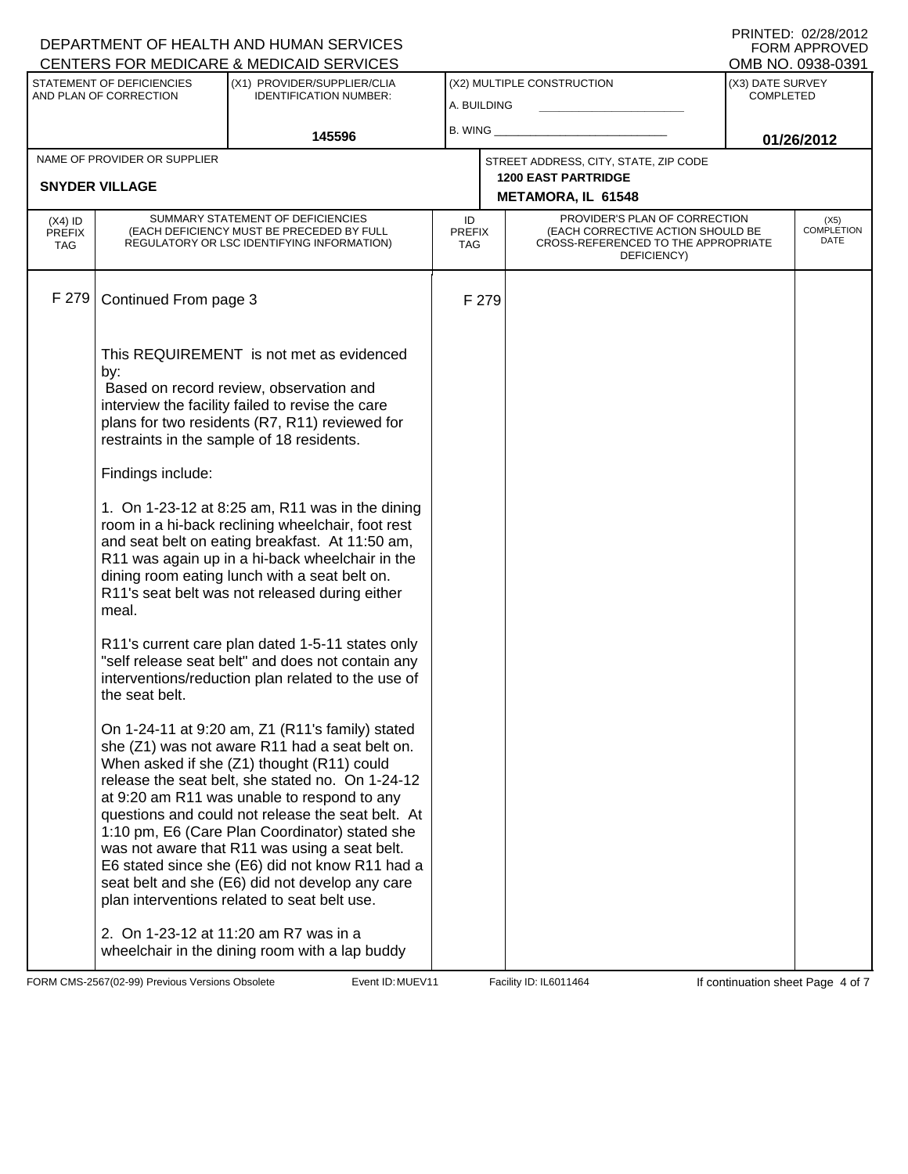|                                          |                                                                                                                     | DEPARTMENT OF HEALTH AND HUMAN SERVICES<br>CENTERS FOR MEDICARE & MEDICAID SERVICES                                                                                                                                                                                                                                                                                                                                                                                                                                                                                                                                                                                                                                                                                                                                                                                                                                                                                                                                                                                                                                                                                                                                                                                                                                                                                                   |                                   |       |                                                                                                                          |                                      | FNINTED. UZZOZUTZ<br><b>FORM APPROVED</b><br>OMB NO. 0938-0391 |
|------------------------------------------|---------------------------------------------------------------------------------------------------------------------|---------------------------------------------------------------------------------------------------------------------------------------------------------------------------------------------------------------------------------------------------------------------------------------------------------------------------------------------------------------------------------------------------------------------------------------------------------------------------------------------------------------------------------------------------------------------------------------------------------------------------------------------------------------------------------------------------------------------------------------------------------------------------------------------------------------------------------------------------------------------------------------------------------------------------------------------------------------------------------------------------------------------------------------------------------------------------------------------------------------------------------------------------------------------------------------------------------------------------------------------------------------------------------------------------------------------------------------------------------------------------------------|-----------------------------------|-------|--------------------------------------------------------------------------------------------------------------------------|--------------------------------------|----------------------------------------------------------------|
|                                          | STATEMENT OF DEFICIENCIES<br>(X1) PROVIDER/SUPPLIER/CLIA<br>AND PLAN OF CORRECTION<br><b>IDENTIFICATION NUMBER:</b> |                                                                                                                                                                                                                                                                                                                                                                                                                                                                                                                                                                                                                                                                                                                                                                                                                                                                                                                                                                                                                                                                                                                                                                                                                                                                                                                                                                                       | A. BUILDING                       |       | (X2) MULTIPLE CONSTRUCTION                                                                                               | (X3) DATE SURVEY<br><b>COMPLETED</b> |                                                                |
|                                          |                                                                                                                     | 145596                                                                                                                                                                                                                                                                                                                                                                                                                                                                                                                                                                                                                                                                                                                                                                                                                                                                                                                                                                                                                                                                                                                                                                                                                                                                                                                                                                                | B. WING                           |       |                                                                                                                          |                                      | 01/26/2012                                                     |
|                                          | NAME OF PROVIDER OR SUPPLIER                                                                                        |                                                                                                                                                                                                                                                                                                                                                                                                                                                                                                                                                                                                                                                                                                                                                                                                                                                                                                                                                                                                                                                                                                                                                                                                                                                                                                                                                                                       |                                   |       | STREET ADDRESS, CITY, STATE, ZIP CODE<br><b>1200 EAST PARTRIDGE</b>                                                      |                                      |                                                                |
|                                          | <b>SNYDER VILLAGE</b>                                                                                               |                                                                                                                                                                                                                                                                                                                                                                                                                                                                                                                                                                                                                                                                                                                                                                                                                                                                                                                                                                                                                                                                                                                                                                                                                                                                                                                                                                                       |                                   |       | <b>METAMORA, IL 61548</b>                                                                                                |                                      |                                                                |
| $(X4)$ ID<br><b>PREFIX</b><br><b>TAG</b> |                                                                                                                     | SUMMARY STATEMENT OF DEFICIENCIES<br>(EACH DEFICIENCY MUST BE PRECEDED BY FULL<br>REGULATORY OR LSC IDENTIFYING INFORMATION)                                                                                                                                                                                                                                                                                                                                                                                                                                                                                                                                                                                                                                                                                                                                                                                                                                                                                                                                                                                                                                                                                                                                                                                                                                                          | ID<br><b>PREFIX</b><br><b>TAG</b> |       | PROVIDER'S PLAN OF CORRECTION<br>(EACH CORRECTIVE ACTION SHOULD BE<br>CROSS-REFERENCED TO THE APPROPRIATE<br>DEFICIENCY) |                                      | (X5)<br><b>COMPLETION</b><br>DATE                              |
| F 279                                    | Continued From page 3                                                                                               |                                                                                                                                                                                                                                                                                                                                                                                                                                                                                                                                                                                                                                                                                                                                                                                                                                                                                                                                                                                                                                                                                                                                                                                                                                                                                                                                                                                       |                                   | F 279 |                                                                                                                          |                                      |                                                                |
|                                          | by:<br>Findings include:<br>meal.<br>the seat belt.                                                                 | This REQUIREMENT is not met as evidenced<br>Based on record review, observation and<br>interview the facility failed to revise the care<br>plans for two residents (R7, R11) reviewed for<br>restraints in the sample of 18 residents.<br>1. On 1-23-12 at 8:25 am, R11 was in the dining<br>room in a hi-back reclining wheelchair, foot rest<br>and seat belt on eating breakfast. At 11:50 am,<br>R11 was again up in a hi-back wheelchair in the<br>dining room eating lunch with a seat belt on.<br>R11's seat belt was not released during either<br>R11's current care plan dated 1-5-11 states only<br>"self release seat belt" and does not contain any<br>interventions/reduction plan related to the use of<br>On 1-24-11 at 9:20 am, Z1 (R11's family) stated<br>she (Z1) was not aware R11 had a seat belt on.<br>When asked if she (Z1) thought (R11) could<br>release the seat belt, she stated no. On 1-24-12<br>at 9:20 am R11 was unable to respond to any<br>questions and could not release the seat belt. At<br>1:10 pm, E6 (Care Plan Coordinator) stated she<br>was not aware that R11 was using a seat belt.<br>E6 stated since she (E6) did not know R11 had a<br>seat belt and she (E6) did not develop any care<br>plan interventions related to seat belt use.<br>2. On 1-23-12 at 11:20 am R7 was in a<br>wheelchair in the dining room with a lap buddy |                                   |       |                                                                                                                          |                                      |                                                                |

FORM CMS-2567(02-99) Previous Versions Obsolete **MUEV11** Event ID: MUEV11 Facility ID: IL6011464 If continuation sheet Page 4 of 7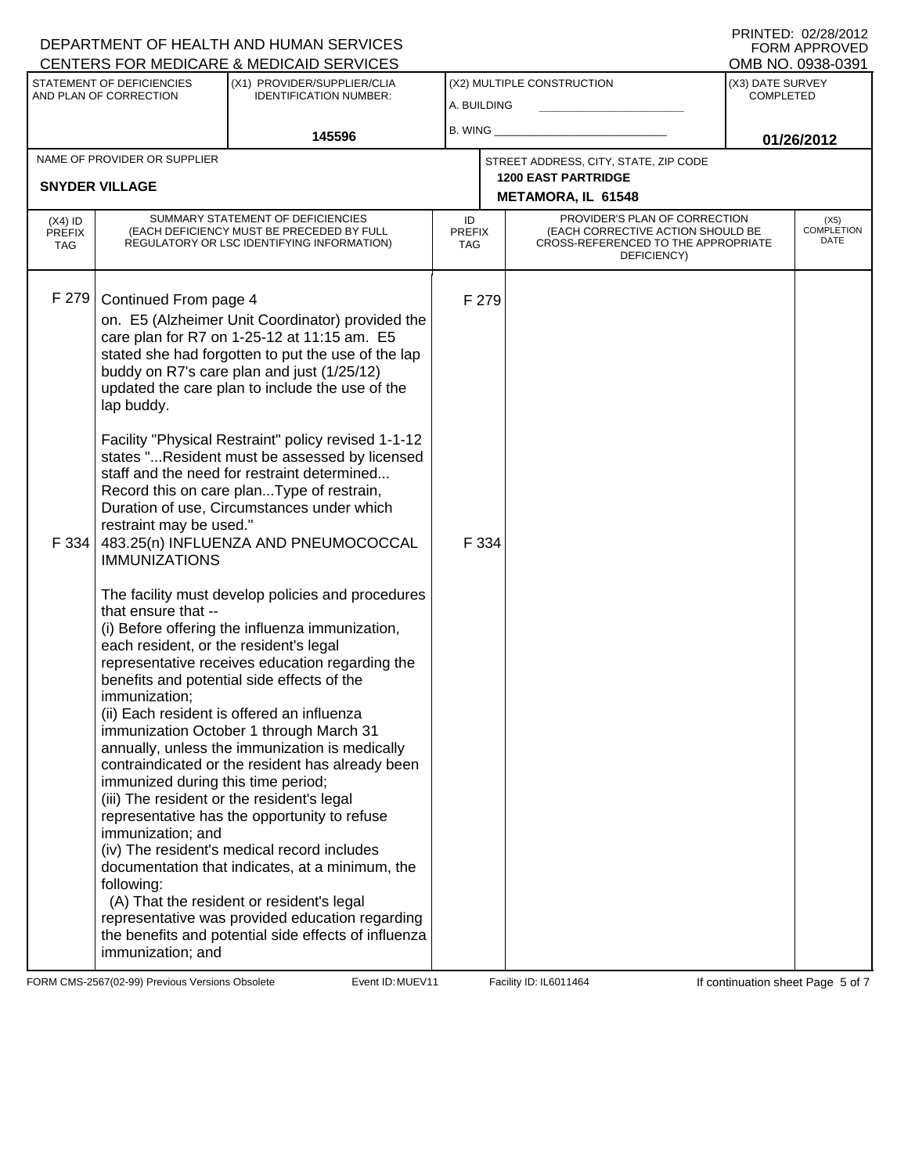## A. BUILDING (X1) PROVIDER/SUPPLIER/CLIA IDENTIFICATION NUMBER: STATEMENT OF DEFICIENCIES AND PLAN OF CORRECTION (X3) DATE SURVEY COMPLETED FORM APPROVED<br>OMB NO. 0938-0391 (X2) MULTIPLE CONSTRUCTION B. WING **\_\_\_\_\_\_\_\_\_\_\_\_\_\_\_\_\_\_\_\_\_\_** CENTERS FOR MEDICARE & MEDICAID SERVICES **145596 01/26/2012 METAMORA, IL 61548** NAME OF PROVIDER OR SUPPLIER STREET ADDRESS, CITY, STATE, ZIP CODE **SNYDER VILLAGE 1200 EAST PARTRIDGE** PROVIDER'S PLAN OF CORRECTION (EACH CORRECTIVE ACTION SHOULD BE CROSS-REFERENCED TO THE APPROPRIATE DEFICIENCY) (X5) COMPLETION DATE ID PREFIX TAG (X4) ID PREFIX TAG SUMMARY STATEMENT OF DEFICIENCIES (EACH DEFICIENCY MUST BE PRECEDED BY FULL REGULATORY OR LSC IDENTIFYING INFORMATION) F 279 Continued From page 4 F 279 on. E5 (Alzheimer Unit Coordinator) provided the care plan for R7 on 1-25-12 at 11:15 am. E5 stated she had forgotten to put the use of the lap buddy on R7's care plan and just (1/25/12) updated the care plan to include the use of the lap buddy. Facility "Physical Restraint" policy revised 1-1-12 states "...Resident must be assessed by licensed staff and the need for restraint determined... Record this on care plan...Type of restrain, Duration of use, Circumstances under which restraint may be used." F 334 483.25(n) INFLUENZA AND PNEUMOCOCCAL IMMUNIZATIONS The facility must develop policies and procedures that ensure that -- (i) Before offering the influenza immunization, each resident, or the resident's legal representative receives education regarding the benefits and potential side effects of the immunization; (ii) Each resident is offered an influenza immunization October 1 through March 31 annually, unless the immunization is medically contraindicated or the resident has already been immunized during this time period; (iii) The resident or the resident's legal representative has the opportunity to refuse immunization; and (iv) The resident's medical record includes documentation that indicates, at a minimum, the following: (A) That the resident or resident's legal representative was provided education regarding the benefits and potential side effects of influenza immunization; and F 334

FORM CMS-2567(02-99) Previous Versions Obsolete MuEV11 Event ID: MUEV11 Facility ID: IL6011464 If continuation sheet Page 5 of 7

DEPARTMENT OF HEALTH AND HUMAN SERVICES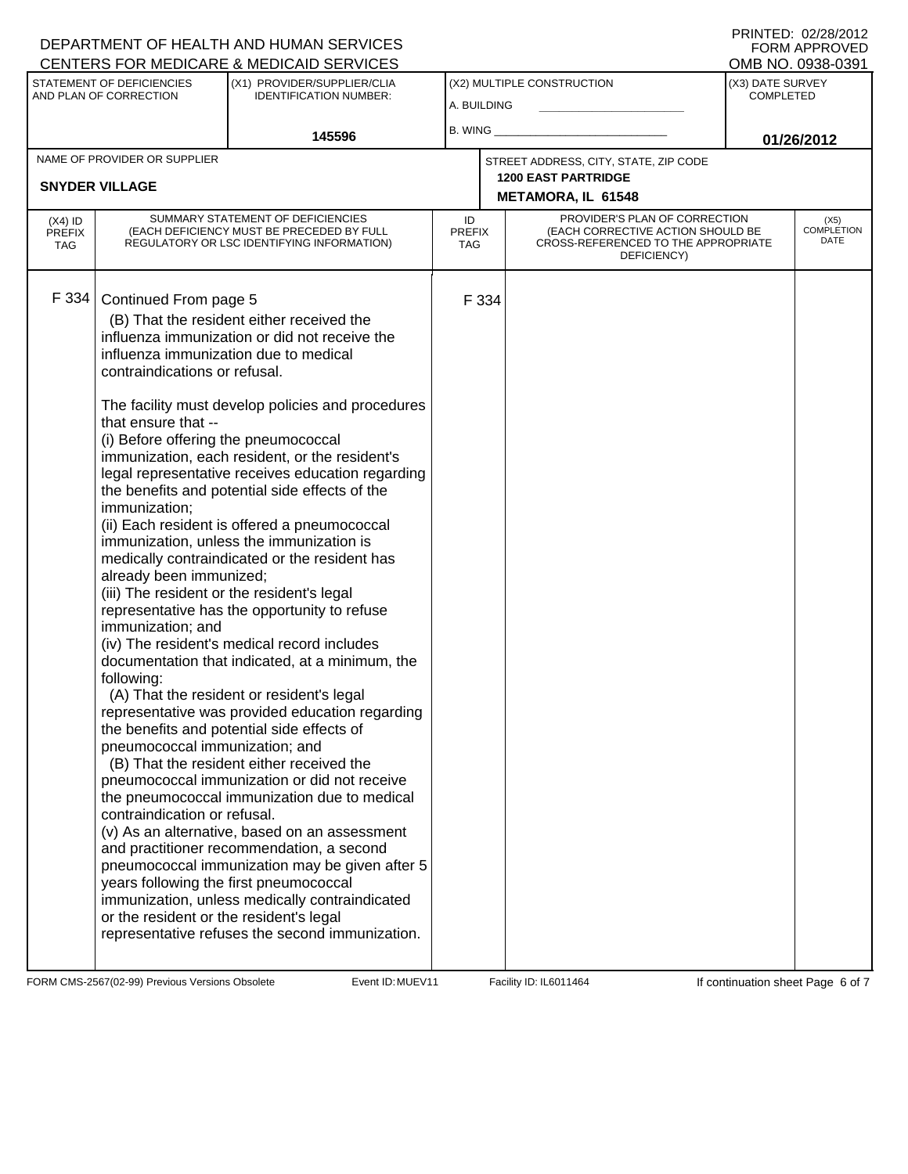## DEPARTMENT OF HEALTH AND HUMAN SERVICES

|                                                     |                                                                                                                                                                                                                                                                                                                   | CENTERS FOR MEDICARE & MEDICAID SERVICES                                                                                                                                                                                                                                                                                                                                                                                                                                                                                                                                                                                                                                                                                                                                                                                                                                                                                                                                                                                                                                                                                                                                                                                                                                                 |                            |       |                                                                                                                          |                                      | OMB NO. 0938-0391                 |
|-----------------------------------------------------|-------------------------------------------------------------------------------------------------------------------------------------------------------------------------------------------------------------------------------------------------------------------------------------------------------------------|------------------------------------------------------------------------------------------------------------------------------------------------------------------------------------------------------------------------------------------------------------------------------------------------------------------------------------------------------------------------------------------------------------------------------------------------------------------------------------------------------------------------------------------------------------------------------------------------------------------------------------------------------------------------------------------------------------------------------------------------------------------------------------------------------------------------------------------------------------------------------------------------------------------------------------------------------------------------------------------------------------------------------------------------------------------------------------------------------------------------------------------------------------------------------------------------------------------------------------------------------------------------------------------|----------------------------|-------|--------------------------------------------------------------------------------------------------------------------------|--------------------------------------|-----------------------------------|
| STATEMENT OF DEFICIENCIES<br>AND PLAN OF CORRECTION |                                                                                                                                                                                                                                                                                                                   | (X1) PROVIDER/SUPPLIER/CLIA<br><b>IDENTIFICATION NUMBER:</b>                                                                                                                                                                                                                                                                                                                                                                                                                                                                                                                                                                                                                                                                                                                                                                                                                                                                                                                                                                                                                                                                                                                                                                                                                             | A. BUILDING                |       | (X2) MULTIPLE CONSTRUCTION                                                                                               | (X3) DATE SURVEY<br><b>COMPLETED</b> |                                   |
|                                                     |                                                                                                                                                                                                                                                                                                                   |                                                                                                                                                                                                                                                                                                                                                                                                                                                                                                                                                                                                                                                                                                                                                                                                                                                                                                                                                                                                                                                                                                                                                                                                                                                                                          |                            |       |                                                                                                                          |                                      |                                   |
|                                                     |                                                                                                                                                                                                                                                                                                                   | 145596                                                                                                                                                                                                                                                                                                                                                                                                                                                                                                                                                                                                                                                                                                                                                                                                                                                                                                                                                                                                                                                                                                                                                                                                                                                                                   | B. WING                    |       |                                                                                                                          |                                      | 01/26/2012                        |
| NAME OF PROVIDER OR SUPPLIER                        |                                                                                                                                                                                                                                                                                                                   |                                                                                                                                                                                                                                                                                                                                                                                                                                                                                                                                                                                                                                                                                                                                                                                                                                                                                                                                                                                                                                                                                                                                                                                                                                                                                          |                            |       | STREET ADDRESS, CITY, STATE, ZIP CODE                                                                                    |                                      |                                   |
|                                                     | <b>SNYDER VILLAGE</b>                                                                                                                                                                                                                                                                                             |                                                                                                                                                                                                                                                                                                                                                                                                                                                                                                                                                                                                                                                                                                                                                                                                                                                                                                                                                                                                                                                                                                                                                                                                                                                                                          |                            |       | <b>1200 EAST PARTRIDGE</b>                                                                                               |                                      |                                   |
|                                                     |                                                                                                                                                                                                                                                                                                                   |                                                                                                                                                                                                                                                                                                                                                                                                                                                                                                                                                                                                                                                                                                                                                                                                                                                                                                                                                                                                                                                                                                                                                                                                                                                                                          |                            |       | METAMORA, IL 61548                                                                                                       |                                      |                                   |
| $(X4)$ ID<br><b>PREFIX</b><br>TAG                   | SUMMARY STATEMENT OF DEFICIENCIES<br>(EACH DEFICIENCY MUST BE PRECEDED BY FULL<br>REGULATORY OR LSC IDENTIFYING INFORMATION)                                                                                                                                                                                      |                                                                                                                                                                                                                                                                                                                                                                                                                                                                                                                                                                                                                                                                                                                                                                                                                                                                                                                                                                                                                                                                                                                                                                                                                                                                                          | ID<br><b>PREFIX</b><br>TAG |       | PROVIDER'S PLAN OF CORRECTION<br>(EACH CORRECTIVE ACTION SHOULD BE<br>CROSS-REFERENCED TO THE APPROPRIATE<br>DEFICIENCY) |                                      | (X5)<br><b>COMPLETION</b><br>DATE |
| F 334                                               | Continued From page 5<br>contraindications or refusal.<br>that ensure that --<br>(i) Before offering the pneumococcal<br>immunization;<br>already been immunized;<br>immunization; and<br>following:<br>pneumococcal immunization; and<br>contraindication or refusal.<br>or the resident or the resident's legal | (B) That the resident either received the<br>influenza immunization or did not receive the<br>influenza immunization due to medical<br>The facility must develop policies and procedures<br>immunization, each resident, or the resident's<br>legal representative receives education regarding<br>the benefits and potential side effects of the<br>(ii) Each resident is offered a pneumococcal<br>immunization, unless the immunization is<br>medically contraindicated or the resident has<br>(iii) The resident or the resident's legal<br>representative has the opportunity to refuse<br>(iv) The resident's medical record includes<br>documentation that indicated, at a minimum, the<br>(A) That the resident or resident's legal<br>representative was provided education regarding<br>the benefits and potential side effects of<br>(B) That the resident either received the<br>pneumococcal immunization or did not receive<br>the pneumococcal immunization due to medical<br>(v) As an alternative, based on an assessment<br>and practitioner recommendation, a second<br>pneumococcal immunization may be given after 5<br>years following the first pneumococcal<br>immunization, unless medically contraindicated<br>representative refuses the second immunization. |                            | F 334 |                                                                                                                          |                                      |                                   |

FORM CMS-2567(02-99) Previous Versions Obsolete Event ID: MUEV11 Facility ID: IL6011464 If continuation sheet Page 6 of 7